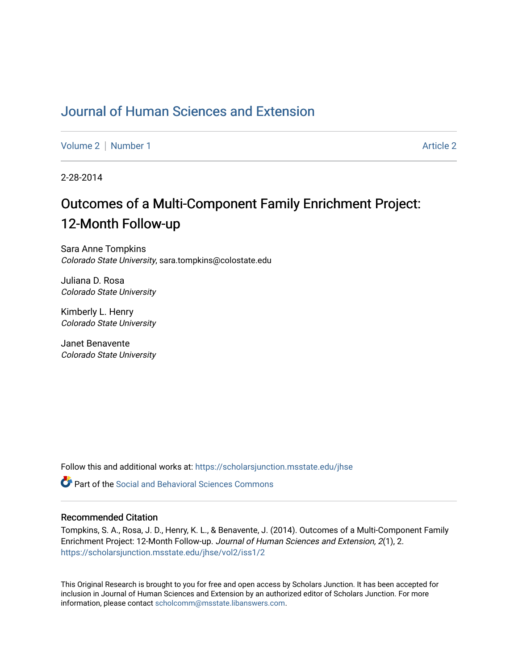## [Journal of Human Sciences and Extension](https://scholarsjunction.msstate.edu/jhse)

[Volume 2](https://scholarsjunction.msstate.edu/jhse/vol2) | [Number 1](https://scholarsjunction.msstate.edu/jhse/vol2/iss1) Article 2

2-28-2014

# Outcomes of a Multi-Component Family Enrichment Project: 12-Month Follow-up

Sara Anne Tompkins Colorado State University, sara.tompkins@colostate.edu

Juliana D. Rosa Colorado State University

Kimberly L. Henry Colorado State University

Janet Benavente Colorado State University

Follow this and additional works at: [https://scholarsjunction.msstate.edu/jhse](https://scholarsjunction.msstate.edu/jhse?utm_source=scholarsjunction.msstate.edu%2Fjhse%2Fvol2%2Fiss1%2F2&utm_medium=PDF&utm_campaign=PDFCoverPages)

 $\bullet$  Part of the Social and Behavioral Sciences Commons

#### Recommended Citation

Tompkins, S. A., Rosa, J. D., Henry, K. L., & Benavente, J. (2014). Outcomes of a Multi-Component Family Enrichment Project: 12-Month Follow-up. Journal of Human Sciences and Extension, 2(1), 2. [https://scholarsjunction.msstate.edu/jhse/vol2/iss1/2](https://scholarsjunction.msstate.edu/jhse/vol2/iss1/2?utm_source=scholarsjunction.msstate.edu%2Fjhse%2Fvol2%2Fiss1%2F2&utm_medium=PDF&utm_campaign=PDFCoverPages)

This Original Research is brought to you for free and open access by Scholars Junction. It has been accepted for inclusion in Journal of Human Sciences and Extension by an authorized editor of Scholars Junction. For more information, please contact [scholcomm@msstate.libanswers.com](mailto:scholcomm@msstate.libanswers.com).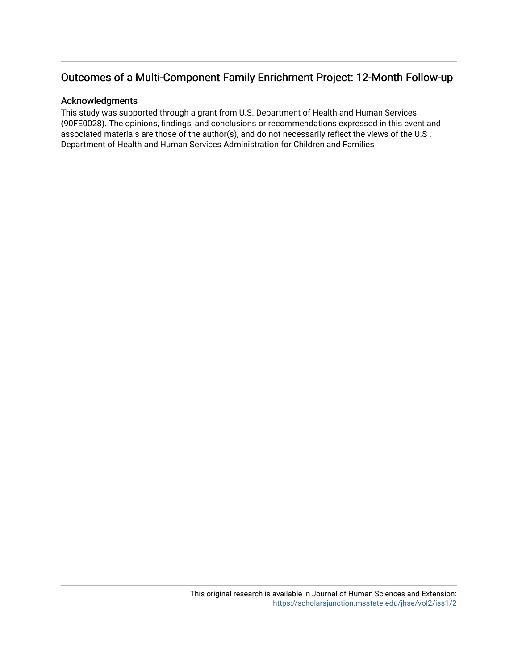## Outcomes of a Multi-Component Family Enrichment Project: 12-Month Follow-up

#### Acknowledgments

This study was supported through a grant from U.S. Department of Health and Human Services (90FE0028). The opinions, findings, and conclusions or recommendations expressed in this event and associated materials are those of the author(s), and do not necessarily reflect the views of the U.S . Department of Health and Human Services Administration for Children and Families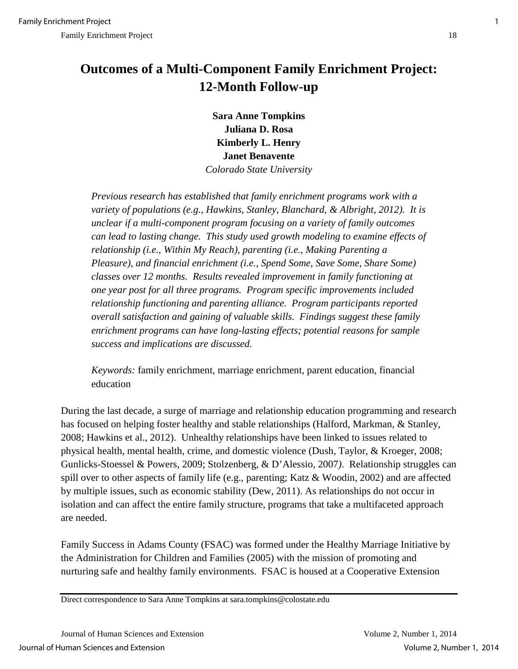## **Outcomes of a Multi-Component Family Enrichment Project: 12-Month Follow-up**

**Sara Anne Tompkins Juliana D. Rosa Kimberly L. Henry Janet Benavente** *Colorado State University* 

*Previous research has established that family enrichment programs work with a variety of populations (e.g., Hawkins, Stanley, Blanchard, & Albright, 2012). It is unclear if a multi-component program focusing on a variety of family outcomes can lead to lasting change. This study used growth modeling to examine effects of relationship (i.e., Within My Reach), parenting (i.e., Making Parenting a Pleasure), and financial enrichment (i.e., Spend Some, Save Some, Share Some) classes over 12 months. Results revealed improvement in family functioning at one year post for all three programs. Program specific improvements included relationship functioning and parenting alliance. Program participants reported overall satisfaction and gaining of valuable skills. Findings suggest these family enrichment programs can have long-lasting effects; potential reasons for sample success and implications are discussed.* 

*Keywords:* family enrichment, marriage enrichment, parent education, financial education

During the last decade, a surge of marriage and relationship education programming and research has focused on helping foster healthy and stable relationships (Halford, Markman, & Stanley, 2008; Hawkins et al., 2012). Unhealthy relationships have been linked to issues related to physical health, mental health, crime, and domestic violence (Dush, Taylor, & Kroeger, 2008; Gunlicks-Stoessel & Powers, 2009; Stolzenberg, & D'Alessio, 2007*)*. Relationship struggles can spill over to other aspects of family life (e.g., parenting; Katz & Woodin, 2002) and are affected by multiple issues, such as economic stability (Dew, 2011). As relationships do not occur in isolation and can affect the entire family structure, programs that take a multifaceted approach are needed.

Family Success in Adams County (FSAC) was formed under the Healthy Marriage Initiative by the Administration for Children and Families (2005) with the mission of promoting and nurturing safe and healthy family environments. FSAC is housed at a Cooperative Extension

Direct correspondence to Sara Anne Tompkins at sara.tompkins@colostate.edu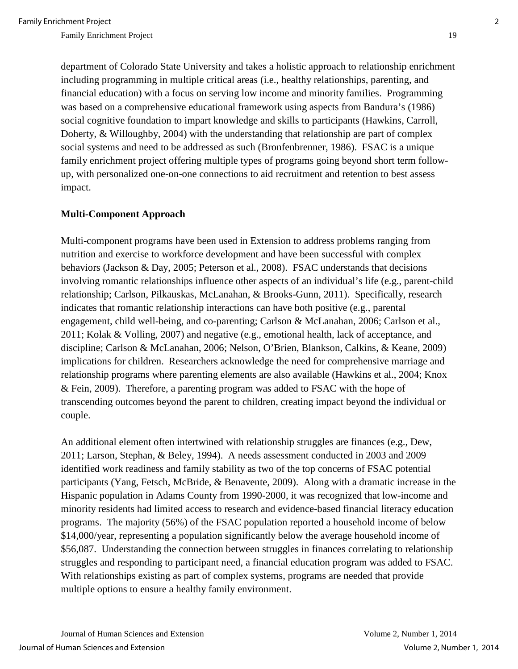department of Colorado State University and takes a holistic approach to relationship enrichment including programming in multiple critical areas (i.e., healthy relationships, parenting, and financial education) with a focus on serving low income and minority families. Programming was based on a comprehensive educational framework using aspects from Bandura's (1986) social cognitive foundation to impart knowledge and skills to participants (Hawkins, Carroll, Doherty, & Willoughby, 2004) with the understanding that relationship are part of complex social systems and need to be addressed as such (Bronfenbrenner, 1986). FSAC is a unique family enrichment project offering multiple types of programs going beyond short term followup, with personalized one-on-one connections to aid recruitment and retention to best assess impact.

### **Multi-Component Approach**

Multi-component programs have been used in Extension to address problems ranging from nutrition and exercise to workforce development and have been successful with complex behaviors (Jackson & Day, 2005; Peterson et al., 2008). FSAC understands that decisions involving romantic relationships influence other aspects of an individual's life (e.g., parent-child relationship; Carlson, Pilkauskas, McLanahan, & Brooks-Gunn, 2011). Specifically, research indicates that romantic relationship interactions can have both positive (e.g., parental engagement, child well-being, and co-parenting; Carlson & McLanahan, 2006; Carlson et al., 2011; Kolak & Volling, 2007) and negative (e.g., emotional health, lack of acceptance, and discipline; Carlson & McLanahan, 2006; Nelson, O'Brien, Blankson, Calkins, & Keane, 2009) implications for children. Researchers acknowledge the need for comprehensive marriage and relationship programs where parenting elements are also available (Hawkins et al., 2004; Knox & Fein, 2009). Therefore, a parenting program was added to FSAC with the hope of transcending outcomes beyond the parent to children, creating impact beyond the individual or couple.

An additional element often intertwined with relationship struggles are finances (e.g., Dew, 2011; Larson, Stephan, & Beley, 1994). A needs assessment conducted in 2003 and 2009 identified work readiness and family stability as two of the top concerns of FSAC potential participants (Yang, Fetsch, McBride, & Benavente, 2009). Along with a dramatic increase in the Hispanic population in Adams County from 1990-2000, it was recognized that low-income and minority residents had limited access to research and evidence-based financial literacy education programs. The majority (56%) of the FSAC population reported a household income of below \$14,000/year, representing a population significantly below the average household income of \$56,087. Understanding the connection between struggles in finances correlating to relationship struggles and responding to participant need, a financial education program was added to FSAC. With relationships existing as part of complex systems, programs are needed that provide multiple options to ensure a healthy family environment.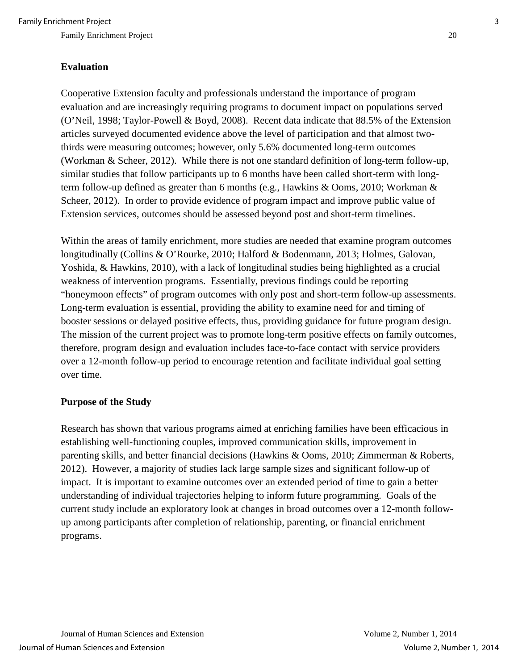### **Evaluation**

Cooperative Extension faculty and professionals understand the importance of program evaluation and are increasingly requiring programs to document impact on populations served (O'Neil, 1998; Taylor-Powell & Boyd, 2008). Recent data indicate that 88.5% of the Extension articles surveyed documented evidence above the level of participation and that almost twothirds were measuring outcomes; however, only 5.6% documented long-term outcomes (Workman & Scheer, 2012). While there is not one standard definition of long-term follow-up, similar studies that follow participants up to 6 months have been called short-term with longterm follow-up defined as greater than 6 months (e.g., Hawkins & Ooms, 2010; Workman & Scheer, 2012). In order to provide evidence of program impact and improve public value of Extension services, outcomes should be assessed beyond post and short-term timelines.

Within the areas of family enrichment, more studies are needed that examine program outcomes longitudinally (Collins & O'Rourke, 2010; Halford & Bodenmann, 2013; Holmes, Galovan, Yoshida, & Hawkins, 2010), with a lack of longitudinal studies being highlighted as a crucial weakness of intervention programs. Essentially, previous findings could be reporting "honeymoon effects" of program outcomes with only post and short-term follow-up assessments. Long-term evaluation is essential, providing the ability to examine need for and timing of booster sessions or delayed positive effects, thus, providing guidance for future program design. The mission of the current project was to promote long-term positive effects on family outcomes, therefore, program design and evaluation includes face-to-face contact with service providers over a 12-month follow-up period to encourage retention and facilitate individual goal setting over time.

#### **Purpose of the Study**

Research has shown that various programs aimed at enriching families have been efficacious in establishing well-functioning couples, improved communication skills, improvement in parenting skills, and better financial decisions (Hawkins & Ooms, 2010; Zimmerman & Roberts, 2012). However, a majority of studies lack large sample sizes and significant follow-up of impact. It is important to examine outcomes over an extended period of time to gain a better understanding of individual trajectories helping to inform future programming. Goals of the current study include an exploratory look at changes in broad outcomes over a 12-month followup among participants after completion of relationship, parenting, or financial enrichment programs.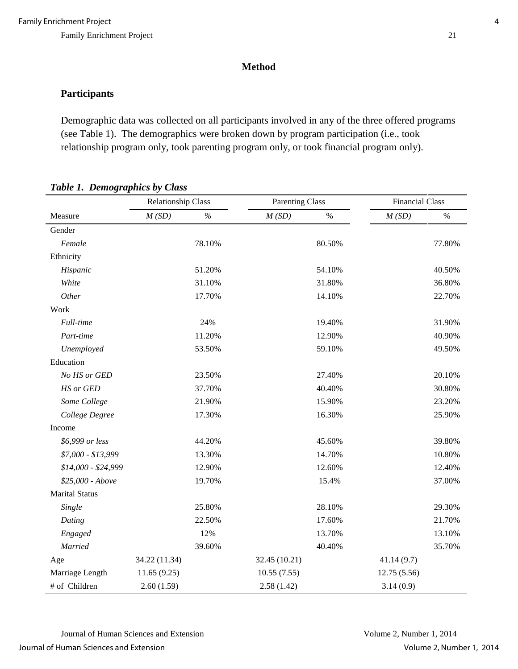## **Method**

## **Participants**

Demographic data was collected on all participants involved in any of the three offered programs (see Table 1). The demographics were broken down by program participation (i.e., took relationship program only, took parenting program only, or took financial program only).

|                       | Relationship Class |        |               | <b>Parenting Class</b> |             | <b>Financial Class</b> |  |
|-----------------------|--------------------|--------|---------------|------------------------|-------------|------------------------|--|
| Measure               | M(SD)              | $\%$   | M(SD)         | $\%$                   | M(SD)       | $\%$                   |  |
| Gender                |                    |        |               |                        |             |                        |  |
| Female                |                    | 78.10% |               | 80.50%                 |             | 77.80%                 |  |
| Ethnicity             |                    |        |               |                        |             |                        |  |
| Hispanic              |                    | 51.20% |               | 54.10%                 |             | 40.50%                 |  |
| White                 |                    | 31.10% |               | 31.80%                 |             | 36.80%                 |  |
| Other                 |                    | 17.70% |               | 14.10%                 |             | 22.70%                 |  |
| Work                  |                    |        |               |                        |             |                        |  |
| Full-time             |                    | 24%    |               | 19.40%                 |             | 31.90%                 |  |
| Part-time             |                    | 11.20% |               | 12.90%                 |             | 40.90%                 |  |
| Unemployed            |                    | 53.50% |               | 59.10%                 |             | 49.50%                 |  |
| Education             |                    |        |               |                        |             |                        |  |
| No HS or GED          |                    | 23.50% |               | 27.40%                 |             | 20.10%                 |  |
| <b>HS</b> or GED      |                    | 37.70% |               | 40.40%                 |             | 30.80%                 |  |
| Some College          |                    | 21.90% |               | 15.90%                 |             | 23.20%                 |  |
| College Degree        |                    | 17.30% |               | 16.30%                 |             | 25.90%                 |  |
| Income                |                    |        |               |                        |             |                        |  |
| \$6,999 or less       |                    | 44.20% |               | 45.60%                 |             | 39.80%                 |  |
| $$7,000 - $13,999$    |                    | 13.30% |               | 14.70%                 |             | 10.80%                 |  |
| \$14,000 - \$24,999   |                    | 12.90% |               | 12.60%                 |             | 12.40%                 |  |
| \$25,000 - Above      |                    | 19.70% |               | 15.4%                  |             | 37.00%                 |  |
| <b>Marital Status</b> |                    |        |               |                        |             |                        |  |
| Single                |                    | 25.80% |               | 28.10%                 |             | 29.30%                 |  |
| Dating                |                    | 22.50% |               | 17.60%                 |             | 21.70%                 |  |
| Engaged               |                    | 12%    |               | 13.70%                 |             | 13.10%                 |  |
| Married               |                    | 39.60% |               | 40.40%                 |             | 35.70%                 |  |
| Age                   | 34.22 (11.34)      |        | 32.45 (10.21) |                        | 41.14(9.7)  |                        |  |
| Marriage Length       | 11.65(9.25)        |        | 10.55(7.55)   |                        | 12.75(5.56) |                        |  |
| # of Children         | 2.60(1.59)         |        | 2.58(1.42)    |                        | 3.14(0.9)   |                        |  |

## *Table 1. Demographics by Class*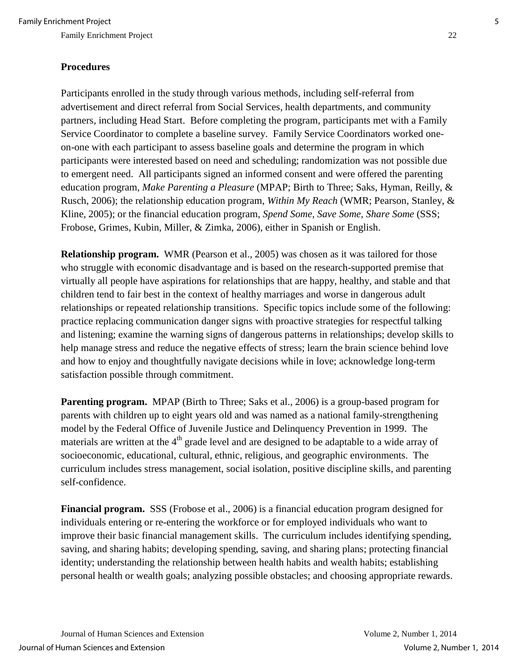#### **Procedures**

Participants enrolled in the study through various methods, including self-referral from advertisement and direct referral from Social Services, health departments, and community partners, including Head Start. Before completing the program, participants met with a Family Service Coordinator to complete a baseline survey. Family Service Coordinators worked oneon-one with each participant to assess baseline goals and determine the program in which participants were interested based on need and scheduling; randomization was not possible due to emergent need. All participants signed an informed consent and were offered the parenting education program, *Make Parenting a Pleasure* (MPAP; Birth to Three; Saks, Hyman, Reilly, & Rusch, 2006); the relationship education program, *Within My Reach* (WMR; Pearson, Stanley, & Kline, 2005); or the financial education program, *Spend Some, Save Some, Share Some* (SSS; Frobose, Grimes, Kubin, Miller, & Zimka, 2006), either in Spanish or English.

**Relationship program.** WMR (Pearson et al., 2005) was chosen as it was tailored for those who struggle with economic disadvantage and is based on the research-supported premise that virtually all people have aspirations for relationships that are happy, healthy, and stable and that children tend to fair best in the context of healthy marriages and worse in dangerous adult relationships or repeated relationship transitions. Specific topics include some of the following: practice replacing communication danger signs with proactive strategies for respectful talking and listening; examine the warning signs of dangerous patterns in relationships; develop skills to help manage stress and reduce the negative effects of stress; learn the brain science behind love and how to enjoy and thoughtfully navigate decisions while in love; acknowledge long-term satisfaction possible through commitment.

**Parenting program.** MPAP (Birth to Three; Saks et al., 2006) is a group-based program for parents with children up to eight years old and was named as a national family-strengthening model by the Federal Office of Juvenile Justice and Delinquency Prevention in 1999. The materials are written at the  $4<sup>th</sup>$  grade level and are designed to be adaptable to a wide array of socioeconomic, educational, cultural, ethnic, religious, and geographic environments. The curriculum includes stress management, social isolation, positive discipline skills, and parenting self-confidence.

**Financial program.** SSS (Frobose et al., 2006) is a financial education program designed for individuals entering or re-entering the workforce or for employed individuals who want to improve their basic financial management skills. The curriculum includes identifying spending, saving, and sharing habits; developing spending, saving, and sharing plans; protecting financial identity; understanding the relationship between health habits and wealth habits; establishing personal health or wealth goals; analyzing possible obstacles; and choosing appropriate rewards.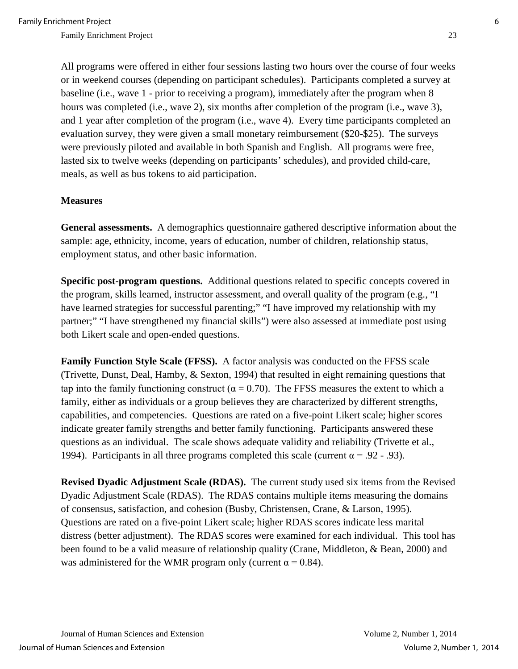All programs were offered in either four sessions lasting two hours over the course of four weeks or in weekend courses (depending on participant schedules). Participants completed a survey at baseline (i.e., wave 1 - prior to receiving a program), immediately after the program when 8 hours was completed (i.e., wave 2), six months after completion of the program (i.e., wave 3), and 1 year after completion of the program (i.e., wave 4). Every time participants completed an evaluation survey, they were given a small monetary reimbursement (\$20-\$25). The surveys were previously piloted and available in both Spanish and English. All programs were free, lasted six to twelve weeks (depending on participants' schedules), and provided child-care, meals, as well as bus tokens to aid participation.

## **Measures**

**General assessments.** A demographics questionnaire gathered descriptive information about the sample: age, ethnicity, income, years of education, number of children, relationship status, employment status, and other basic information.

**Specific post-program questions.** Additional questions related to specific concepts covered in the program, skills learned, instructor assessment, and overall quality of the program (e.g., "I have learned strategies for successful parenting;" "I have improved my relationship with my partner;" "I have strengthened my financial skills") were also assessed at immediate post using both Likert scale and open-ended questions.

**Family Function Style Scale (FFSS).** A factor analysis was conducted on the FFSS scale (Trivette, Dunst, Deal, Hamby, & Sexton, 1994) that resulted in eight remaining questions that tap into the family functioning construct ( $\alpha = 0.70$ ). The FFSS measures the extent to which a family, either as individuals or a group believes they are characterized by different strengths, capabilities, and competencies. Questions are rated on a five-point Likert scale; higher scores indicate greater family strengths and better family functioning. Participants answered these questions as an individual. The scale shows adequate validity and reliability (Trivette et al., 1994). Participants in all three programs completed this scale (current  $\alpha = .92 - .93$ ).

**Revised Dyadic Adjustment Scale (RDAS).** The current study used six items from the Revised Dyadic Adjustment Scale (RDAS). The RDAS contains multiple items measuring the domains of consensus, satisfaction, and cohesion (Busby, Christensen, Crane, & Larson, 1995). Questions are rated on a five-point Likert scale; higher RDAS scores indicate less marital distress (better adjustment). The RDAS scores were examined for each individual. This tool has been found to be a valid measure of relationship quality (Crane, Middleton, & Bean, 2000) and was administered for the WMR program only (current  $\alpha = 0.84$ ).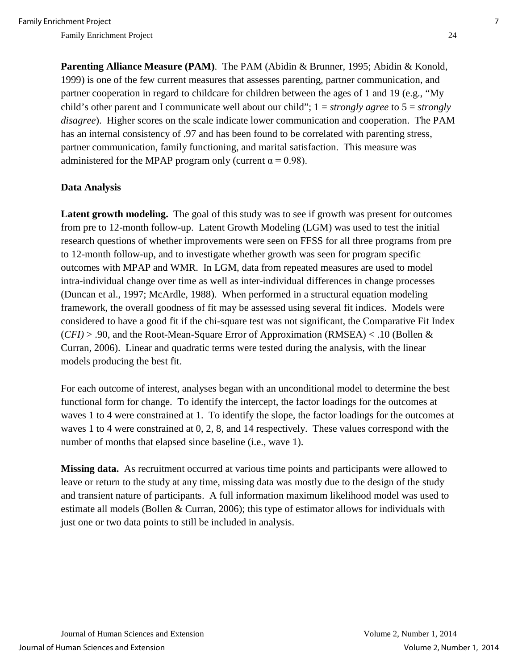**Parenting Alliance Measure (PAM)**. The PAM (Abidin & Brunner, 1995; Abidin & Konold, 1999) is one of the few current measures that assesses parenting, partner communication, and partner cooperation in regard to childcare for children between the ages of 1 and 19 (e.g., "My child's other parent and I communicate well about our child"; 1 = *strongly agree* to 5 = *strongly disagree*). Higher scores on the scale indicate lower communication and cooperation. The PAM has an internal consistency of .97 and has been found to be correlated with parenting stress, partner communication, family functioning, and marital satisfaction. This measure was administered for the MPAP program only (current  $\alpha = 0.98$ ).

## **Data Analysis**

Latent growth modeling. The goal of this study was to see if growth was present for outcomes from pre to 12-month follow-up. Latent Growth Modeling (LGM) was used to test the initial research questions of whether improvements were seen on FFSS for all three programs from pre to 12-month follow-up, and to investigate whether growth was seen for program specific outcomes with MPAP and WMR. In LGM, data from repeated measures are used to model intra-individual change over time as well as inter-individual differences in change processes (Duncan et al., 1997; McArdle, 1988). When performed in a structural equation modeling framework, the overall goodness of fit may be assessed using several fit indices. Models were considered to have a good fit if the chi-square test was not significant, the Comparative Fit Index  $(CFI) > .90$ , and the Root-Mean-Square Error of Approximation (RMSEA) < .10 (Bollen & Curran, 2006). Linear and quadratic terms were tested during the analysis, with the linear models producing the best fit.

For each outcome of interest, analyses began with an unconditional model to determine the best functional form for change. To identify the intercept, the factor loadings for the outcomes at waves 1 to 4 were constrained at 1. To identify the slope, the factor loadings for the outcomes at waves 1 to 4 were constrained at 0, 2, 8, and 14 respectively. These values correspond with the number of months that elapsed since baseline (i.e., wave 1).

**Missing data.** As recruitment occurred at various time points and participants were allowed to leave or return to the study at any time, missing data was mostly due to the design of the study and transient nature of participants. A full information maximum likelihood model was used to estimate all models (Bollen & Curran, 2006); this type of estimator allows for individuals with just one or two data points to still be included in analysis.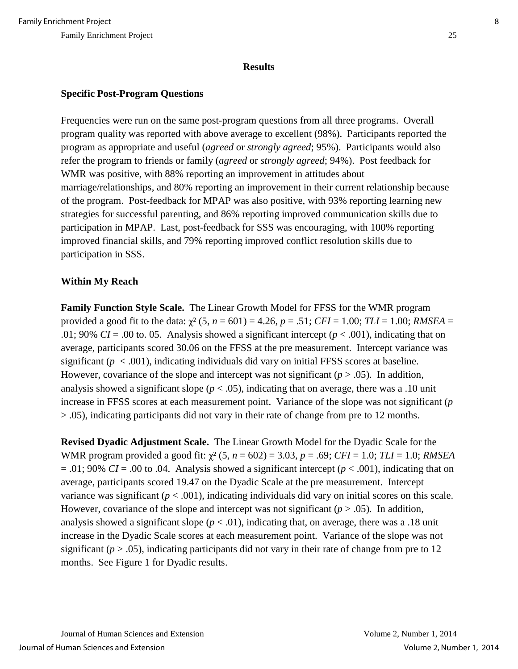#### **Results**

## **Specific Post-Program Questions**

Frequencies were run on the same post-program questions from all three programs. Overall program quality was reported with above average to excellent (98%). Participants reported the program as appropriate and useful (*agreed* or *strongly agreed*; 95%). Participants would also refer the program to friends or family (*agreed* or *strongly agreed*; 94%). Post feedback for WMR was positive, with 88% reporting an improvement in attitudes about marriage/relationships, and 80% reporting an improvement in their current relationship because of the program. Post-feedback for MPAP was also positive, with 93% reporting learning new strategies for successful parenting, and 86% reporting improved communication skills due to participation in MPAP. Last, post-feedback for SSS was encouraging, with 100% reporting improved financial skills, and 79% reporting improved conflict resolution skills due to participation in SSS.

## **Within My Reach**

**Family Function Style Scale.** The Linear Growth Model for FFSS for the WMR program provided a good fit to the data:  $\chi^2$  (5, *n* = 601) = 4.26, *p* = .51; *CFI* = 1.00; *TLI* = 1.00; *RMSEA* = .01; 90% *CI* = .00 to. 05. Analysis showed a significant intercept ( $p < .001$ ), indicating that on average, participants scored 30.06 on the FFSS at the pre measurement. Intercept variance was significant  $(p < .001)$ , indicating individuals did vary on initial FFSS scores at baseline. However, covariance of the slope and intercept was not significant  $(p > .05)$ . In addition, analysis showed a significant slope ( $p < .05$ ), indicating that on average, there was a .10 unit increase in FFSS scores at each measurement point. Variance of the slope was not significant (*p*  > .05), indicating participants did not vary in their rate of change from pre to 12 months.

**Revised Dyadic Adjustment Scale.** The Linear Growth Model for the Dyadic Scale for the WMR program provided a good fit: χ² (5, *n* = 602) = 3.03, *p* = .69; *CFI* = 1.0; *TLI* = 1.0; *RMSEA*  $= .01$ ; 90% *CI* = .00 to .04. Analysis showed a significant intercept ( $p < .001$ ), indicating that on average, participants scored 19.47 on the Dyadic Scale at the pre measurement. Intercept variance was significant  $(p < .001)$ , indicating individuals did vary on initial scores on this scale. However, covariance of the slope and intercept was not significant  $(p > .05)$ . In addition, analysis showed a significant slope  $(p < .01)$ , indicating that, on average, there was a .18 unit increase in the Dyadic Scale scores at each measurement point. Variance of the slope was not significant ( $p > .05$ ), indicating participants did not vary in their rate of change from pre to 12 months. See Figure 1 for Dyadic results.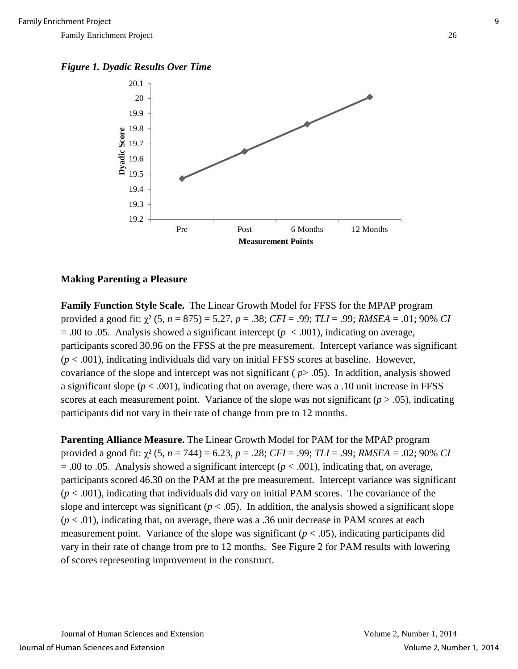



### **Making Parenting a Pleasure**

**Family Function Style Scale.** The Linear Growth Model for FFSS for the MPAP program provided a good fit: χ² (5, *n* = 875) = 5.27, *p* = .38; *CFI* = .99; *TLI* = .99; *RMSEA* = .01; 90% *CI*   $= .00$  to .05. Analysis showed a significant intercept ( $p < .001$ ), indicating on average, participants scored 30.96 on the FFSS at the pre measurement. Intercept variance was significant  $(p < .001)$ , indicating individuals did vary on initial FFSS scores at baseline. However, covariance of the slope and intercept was not significant ( *p*> .05). In addition, analysis showed a significant slope ( $p < .001$ ), indicating that on average, there was a .10 unit increase in FFSS scores at each measurement point. Variance of the slope was not significant ( $p > .05$ ), indicating participants did not vary in their rate of change from pre to 12 months.

**Parenting Alliance Measure.** The Linear Growth Model for PAM for the MPAP program provided a good fit: χ² (5, *n* = 744) = 6.23, *p* = .28; *CFI* = .99; *TLI* = .99; *RMSEA* = .02; 90% *CI*   $= .00$  to .05. Analysis showed a significant intercept ( $p < .001$ ), indicating that, on average, participants scored 46.30 on the PAM at the pre measurement. Intercept variance was significant (*p* < .001), indicating that individuals did vary on initial PAM scores. The covariance of the slope and intercept was significant  $(p < .05)$ . In addition, the analysis showed a significant slope  $(p < .01)$ , indicating that, on average, there was a .36 unit decrease in PAM scores at each measurement point. Variance of the slope was significant  $(p < .05)$ , indicating participants did vary in their rate of change from pre to 12 months. See Figure 2 for PAM results with lowering of scores representing improvement in the construct.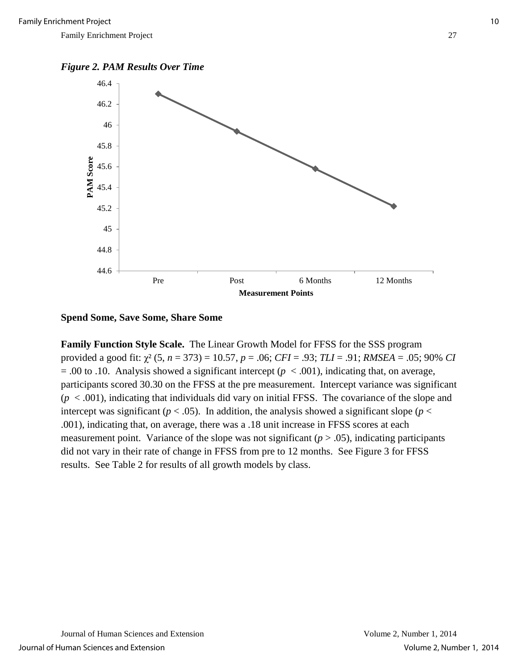

#### *Figure 2. PAM Results Over Time*

#### **Spend Some, Save Some, Share Some**

**Family Function Style Scale.** The Linear Growth Model for FFSS for the SSS program provided a good fit: χ² (5, *n* = 373) = 10.57, *p* = .06; *CFI* = .93; *TLI* = .91; *RMSEA* = .05; 90% *CI*   $= .00$  to .10. Analysis showed a significant intercept ( $p < .001$ ), indicating that, on average, participants scored 30.30 on the FFSS at the pre measurement. Intercept variance was significant  $(p < .001)$ , indicating that individuals did vary on initial FFSS. The covariance of the slope and intercept was significant ( $p < .05$ ). In addition, the analysis showed a significant slope ( $p <$ .001), indicating that, on average, there was a .18 unit increase in FFSS scores at each measurement point. Variance of the slope was not significant  $(p > .05)$ , indicating participants did not vary in their rate of change in FFSS from pre to 12 months. See Figure 3 for FFSS results. See Table 2 for results of all growth models by class.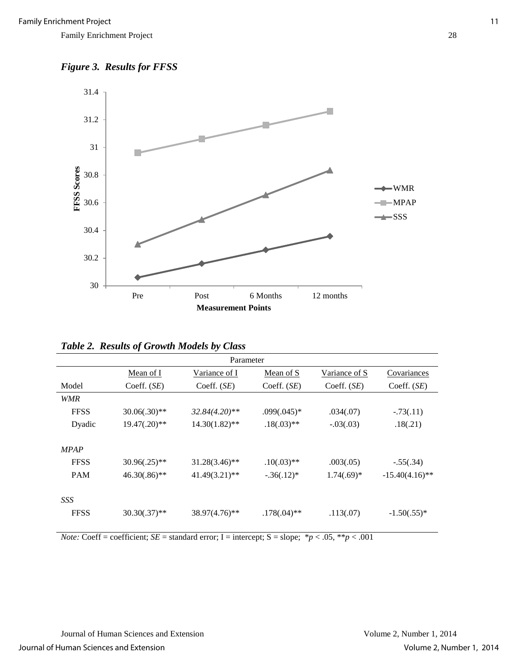



| Table 2. Results of Growth Models by Class |  |  |  |
|--------------------------------------------|--|--|--|
|                                            |  |  |  |

| Parameter   |                 |                  |                |               |                   |  |  |
|-------------|-----------------|------------------|----------------|---------------|-------------------|--|--|
|             | Mean of I       | Variance of I    | Mean of S      | Variance of S | Covariances       |  |  |
| Model       | Coeff. $(SE)$   | Coeff. $(SE)$    | Coeff. $(SE)$  | Coeff. $(SE)$ | Coeff. $(SE)$     |  |  |
| <b>WMR</b>  |                 |                  |                |               |                   |  |  |
| <b>FFSS</b> | $30.06(.30)$ ** | $32.84(4.20)$ ** | $.099(.045)*$  | .034(.07)     | $-.73(.11)$       |  |  |
| Dyadic      | $19.47(.20)$ ** | $14.30(1.82)$ ** | $.18(.03)**$   | $-.03(.03)$   | .18(.21)          |  |  |
|             |                 |                  |                |               |                   |  |  |
| <b>MPAP</b> |                 |                  |                |               |                   |  |  |
| <b>FFSS</b> | $30.96(.25)$ ** | $31.28(3.46)$ ** | $.10(.03)**$   | .003(.05)     | $-.55(.34)$       |  |  |
| <b>PAM</b>  | $46.30(.86)$ ** | $41.49(3.21)$ ** | $-.36(.12)*$   | $1.74(.69)$ * | $-15.40(4.16)$ ** |  |  |
|             |                 |                  |                |               |                   |  |  |
| SSS         |                 |                  |                |               |                   |  |  |
| <b>FFSS</b> | $30.30(.37)$ ** | $38.97(4.76)$ ** | $.178(.04)$ ** | .113(.07)     | $-1.50(.55)*$     |  |  |
|             |                 |                  |                |               |                   |  |  |

*Note:* Coeff = coefficient; *SE* = standard error; *I* = intercept; *S* = slope;  $*p < .05$ ,  $*p < .001$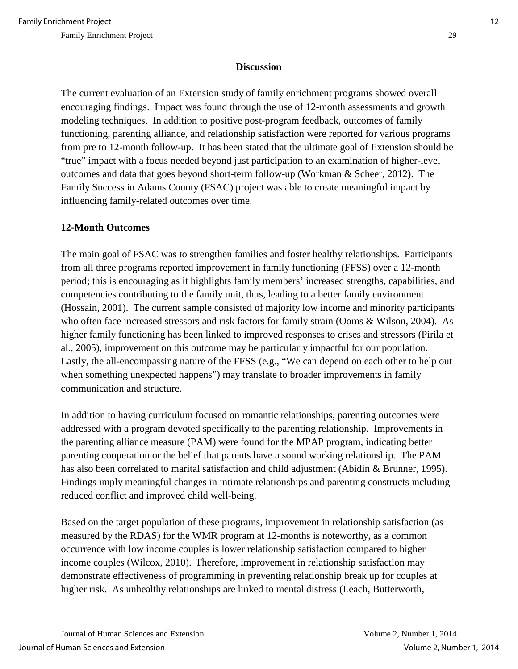## **Discussion**

The current evaluation of an Extension study of family enrichment programs showed overall encouraging findings. Impact was found through the use of 12-month assessments and growth modeling techniques. In addition to positive post-program feedback, outcomes of family functioning, parenting alliance, and relationship satisfaction were reported for various programs from pre to 12-month follow-up. It has been stated that the ultimate goal of Extension should be "true" impact with a focus needed beyond just participation to an examination of higher-level outcomes and data that goes beyond short-term follow-up (Workman & Scheer, 2012). The Family Success in Adams County (FSAC) project was able to create meaningful impact by influencing family-related outcomes over time.

## **12-Month Outcomes**

The main goal of FSAC was to strengthen families and foster healthy relationships. Participants from all three programs reported improvement in family functioning (FFSS) over a 12-month period; this is encouraging as it highlights family members' increased strengths, capabilities, and competencies contributing to the family unit, thus, leading to a better family environment (Hossain, 2001). The current sample consisted of majority low income and minority participants who often face increased stressors and risk factors for family strain (Ooms & Wilson, 2004). As higher family functioning has been linked to improved responses to crises and stressors (Pirila et al., 2005), improvement on this outcome may be particularly impactful for our population. Lastly, the all-encompassing nature of the FFSS (e.g., "We can depend on each other to help out when something unexpected happens") may translate to broader improvements in family communication and structure.

In addition to having curriculum focused on romantic relationships, parenting outcomes were addressed with a program devoted specifically to the parenting relationship. Improvements in the parenting alliance measure (PAM) were found for the MPAP program, indicating better parenting cooperation or the belief that parents have a sound working relationship. The PAM has also been correlated to marital satisfaction and child adjustment (Abidin & Brunner, 1995). Findings imply meaningful changes in intimate relationships and parenting constructs including reduced conflict and improved child well-being.

Based on the target population of these programs, improvement in relationship satisfaction (as measured by the RDAS) for the WMR program at 12-months is noteworthy, as a common occurrence with low income couples is lower relationship satisfaction compared to higher income couples (Wilcox, 2010). Therefore, improvement in relationship satisfaction may demonstrate effectiveness of programming in preventing relationship break up for couples at higher risk. As unhealthy relationships are linked to mental distress (Leach, Butterworth,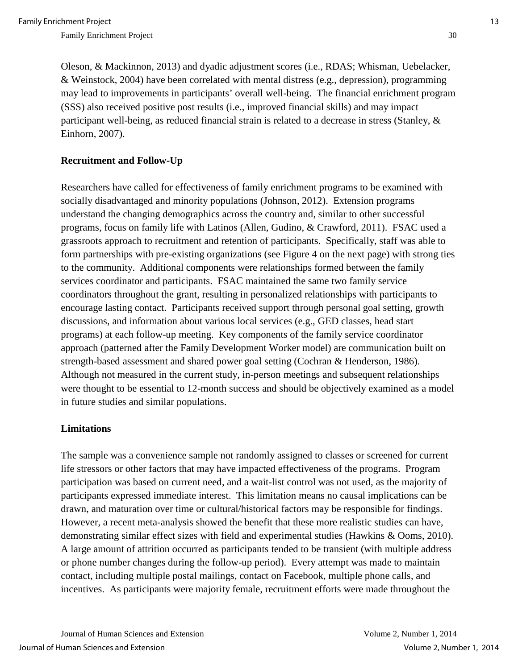Oleson, & Mackinnon, 2013) and dyadic adjustment scores (i.e., RDAS; Whisman, Uebelacker, & Weinstock, 2004) have been correlated with mental distress (e.g., depression), programming may lead to improvements in participants' overall well-being. The financial enrichment program (SSS) also received positive post results (i.e., improved financial skills) and may impact participant well-being, as reduced financial strain is related to a decrease in stress (Stanley, & Einhorn, 2007).

## **Recruitment and Follow-Up**

Researchers have called for effectiveness of family enrichment programs to be examined with socially disadvantaged and minority populations (Johnson, 2012). Extension programs understand the changing demographics across the country and, similar to other successful programs, focus on family life with Latinos (Allen, Gudino, & Crawford, 2011). FSAC used a grassroots approach to recruitment and retention of participants. Specifically, staff was able to form partnerships with pre-existing organizations (see Figure 4 on the next page) with strong ties to the community. Additional components were relationships formed between the family services coordinator and participants. FSAC maintained the same two family service coordinators throughout the grant, resulting in personalized relationships with participants to encourage lasting contact. Participants received support through personal goal setting, growth discussions, and information about various local services (e.g., GED classes, head start programs) at each follow-up meeting. Key components of the family service coordinator approach (patterned after the Family Development Worker model) are communication built on strength-based assessment and shared power goal setting (Cochran & Henderson, 1986). Although not measured in the current study, in-person meetings and subsequent relationships were thought to be essential to 12-month success and should be objectively examined as a model in future studies and similar populations.

#### **Limitations**

The sample was a convenience sample not randomly assigned to classes or screened for current life stressors or other factors that may have impacted effectiveness of the programs. Program participation was based on current need, and a wait-list control was not used, as the majority of participants expressed immediate interest. This limitation means no causal implications can be drawn, and maturation over time or cultural/historical factors may be responsible for findings. However, a recent meta-analysis showed the benefit that these more realistic studies can have, demonstrating similar effect sizes with field and experimental studies (Hawkins & Ooms, 2010). A large amount of attrition occurred as participants tended to be transient (with multiple address or phone number changes during the follow-up period). Every attempt was made to maintain contact, including multiple postal mailings, contact on Facebook, multiple phone calls, and incentives. As participants were majority female, recruitment efforts were made throughout the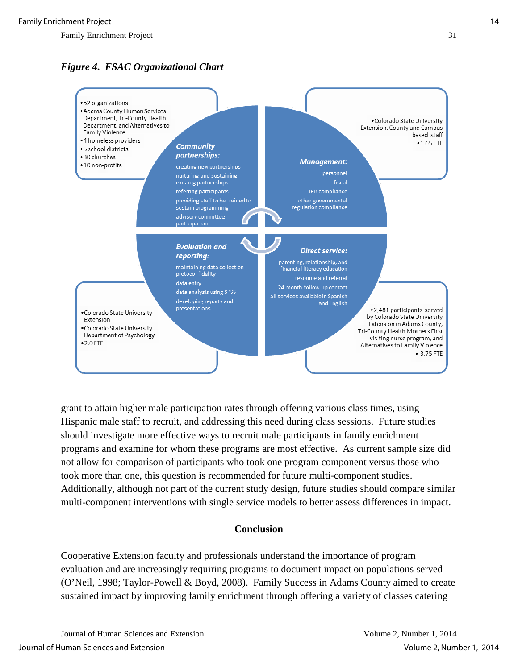

grant to attain higher male participation rates through offering various class times, using Hispanic male staff to recruit, and addressing this need during class sessions. Future studies should investigate more effective ways to recruit male participants in family enrichment programs and examine for whom these programs are most effective. As current sample size did not allow for comparison of participants who took one program component versus those who took more than one, this question is recommended for future multi-component studies. Additionally, although not part of the current study design, future studies should compare similar multi-component interventions with single service models to better assess differences in impact.

## **Conclusion**

Cooperative Extension faculty and professionals understand the importance of program evaluation and are increasingly requiring programs to document impact on populations served (O'Neil, 1998; Taylor-Powell & Boyd, 2008). Family Success in Adams County aimed to create sustained impact by improving family enrichment through offering a variety of classes catering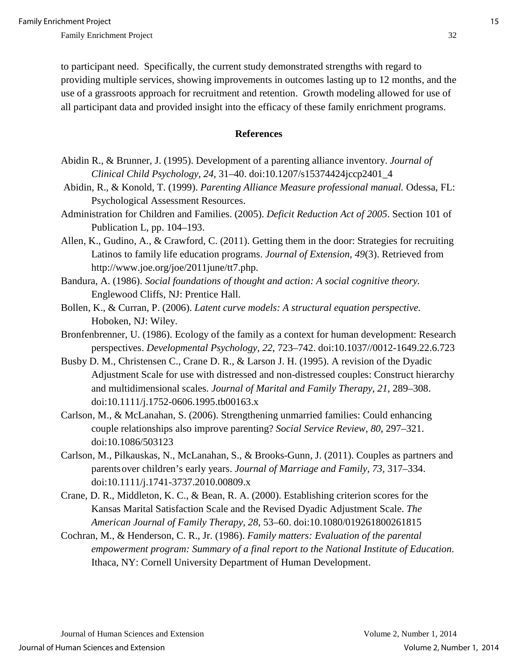to participant need. Specifically, the current study demonstrated strengths with regard to providing multiple services, showing improvements in outcomes lasting up to 12 months, and the use of a grassroots approach for recruitment and retention. Growth modeling allowed for use of all participant data and provided insight into the efficacy of these family enrichment programs.

#### **References**

- Abidin R., & Brunner, J. (1995). Development of a parenting alliance inventory. *Journal of Clinical Child Psychology, 24*, 31–40. doi:10.1207/s15374424jccp2401\_4
- Abidin, R., & Konold, T. (1999). *Parenting Alliance Measure professional manual.* Odessa, FL: Psychological Assessment Resources.
- Administration for Children and Families. (2005). *Deficit Reduction Act of 2005*. Section 101 of Publication L, pp. 104–193.
- Allen, K., Gudino, A., & Crawford, C. (2011). Getting them in the door: Strategies for recruiting Latinos to family life education programs. *Journal of Extension, 49*(3). Retrieved from http://www.joe.org/joe/2011june/tt7.php.
- Bandura, A. (1986). *Social foundations of thought and action: A social cognitive theory.*  Englewood Cliffs, NJ: Prentice Hall.
- Bollen, K., & Curran, P. (2006). *Latent curve models: A structural equation perspective.* Hoboken, NJ: Wiley.
- Bronfenbrenner, U. (1986). Ecology of the family as a context for human development: Research perspectives. *Developmental Psychology, 22*, 723–742. doi:10.1037//0012-1649.22.6.723
- Busby D. M., Christensen C., Crane D. R., & Larson J. H. (1995). A revision of the Dyadic Adjustment Scale for use with distressed and non-distressed couples: Construct hierarchy and multidimensional scales*. Journal of Marital and Family Therapy*, *21*, 289–308. doi:10.1111/j.1752-0606.1995.tb00163.x
- Carlson, M., & McLanahan, S. (2006). Strengthening unmarried families: Could enhancing couple relationships also improve parenting? *Social Service Review, 80*, 297–321. doi:10.1086/503123
- Carlson, M., Pilkauskas, N., McLanahan, S., & Brooks-Gunn, J. (2011). Couples as partners and parentsover children's early years. *Journal of Marriage and Family, 73,* 317–334. doi:10.1111/j.1741-3737.2010.00809.x
- Crane, D. R., Middleton, K. C., & Bean, R. A. (2000). Establishing criterion scores for the Kansas Marital Satisfaction Scale and the Revised Dyadic Adjustment Scale. *The American Journal of Family Therapy, 28*, 53–60. doi:10.1080/019261800261815
- Cochran, M., & Henderson, C. R., Jr. (1986). *Family matters: Evaluation of the parental empowerment program: Summary of a final report to the National Institute of Education*. Ithaca, NY: Cornell University Department of Human Development.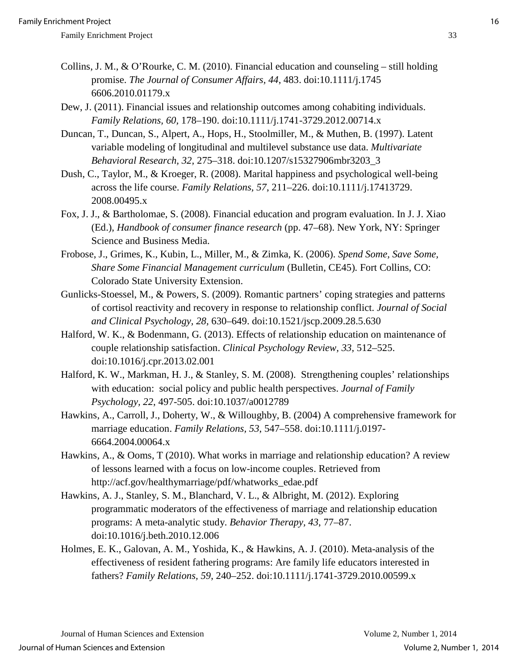- Collins, J. M., & O'Rourke, C. M. (2010). Financial education and counseling still holding promise. *The Journal of Consumer Affairs, 44*, 483. doi:10.1111/j.1745 6606.2010.01179.x
- Dew, J. (2011). Financial issues and relationship outcomes among cohabiting individuals. *Family Relations, 60,* 178–190. doi:10.1111/j.1741-3729.2012.00714.x
- Duncan, T., Duncan, S., Alpert, A., Hops, H., Stoolmiller, M., & Muthen, B. (1997). Latent variable modeling of longitudinal and multilevel substance use data. *Multivariate Behavioral Research, 32,* 275–318. doi:10.1207/s15327906mbr3203\_3
- Dush, C., Taylor, M., & Kroeger, R. (2008). Marital happiness and psychological well-being across the life course. *Family Relations, 57*, 211–226. doi:10.1111/j.17413729. 2008.00495.x
- Fox, J. J., & Bartholomae, S. (2008). Financial education and program evaluation. In J. J. Xiao (Ed.), *Handbook of consumer finance research* (pp. 47–68). New York, NY: Springer Science and Business Media.
- Frobose, J., Grimes, K., Kubin, L., Miller, M., & Zimka, K. (2006). *Spend Some, Save Some, Share Some Financial Management curriculum* (Bulletin, CE45)*.* Fort Collins, CO: Colorado State University Extension.
- Gunlicks-Stoessel, M., & Powers, S. (2009). Romantic partners' coping strategies and patterns of cortisol reactivity and recovery in response to relationship conflict. *Journal of Social and Clinical Psychology, 28,* 630–649. doi:10.1521/jscp.2009.28.5.630
- Halford, W. K., & Bodenmann, G. (2013). Effects of relationship education on maintenance of couple relationship satisfaction. *Clinical Psychology Review, 33,* 512–525. doi:10.1016/j.cpr.2013.02.001
- Halford, K. W., Markman, H. J., & Stanley, S. M. (2008). Strengthening couples' relationships with education: social policy and public health perspectives. *Journal of Family Psychology, 22*, 497-505. doi:10.1037/a0012789
- Hawkins, A., Carroll, J., Doherty, W., & Willoughby, B. (2004) A comprehensive framework for marriage education. *Family Relations, 53*, 547–558. doi:10.1111/j.0197- 6664.2004.00064.x
- Hawkins, A., & Ooms, T (2010). What works in marriage and relationship education? A review of lessons learned with a focus on low-income couples. Retrieved from [http://acf.gov/healthymarriage/pdf/whatworks\\_edae.pdf](http://acf.gov/healthymarriage/pdf/whatworks_edae.pdf)
- Hawkins, A. J., Stanley, S. M., Blanchard, V. L., & Albright, M. (2012). Exploring programmatic moderators of the effectiveness of marriage and relationship education programs: A meta-analytic study. *Behavior Therapy, 43*, 77–87. doi:10.1016/j.beth.2010.12.006
- Holmes, E. K., Galovan, A. M., Yoshida, K., & Hawkins, A. J. (2010). Meta-analysis of the effectiveness of resident fathering programs: Are family life educators interested in fathers? *Family Relations, 59*, 240–252. doi:10.1111/j.1741-3729.2010.00599.x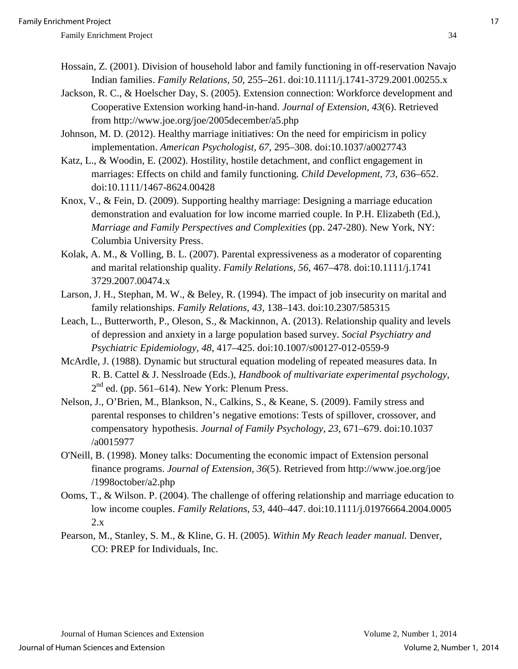- Hossain, Z. (2001). Division of household labor and family functioning in off-reservation Navajo Indian families. *Family Relations, 50*, 255–261. doi:10.1111/j.1741-3729.2001.00255.x
- Jackson, R. C., & Hoelscher Day, S. (2005). Extension connection: Workforce development and Cooperative Extension working hand-in-hand. *Journal of Extension, 43*(6). Retrieved from http://www.joe.org/joe/2005december/a5.php
- Johnson, M. D. (2012). Healthy marriage initiatives: On the need for empiricism in policy implementation. *American Psychologist, 67,* 295–308. doi:10.1037/a0027743
- Katz, L., & Woodin, E. (2002). Hostility, hostile detachment, and conflict engagement in marriages: Effects on child and family functioning*. Child Development, 73, 6*36–652. doi:10.1111/1467-8624.00428
- Knox, V., & Fein, D. (2009). Supporting healthy marriage: Designing a marriage education demonstration and evaluation for low income married couple. In P.H. Elizabeth (Ed.), *Marriage and Family Perspectives and Complexities (pp. 247-280). New York, NY:* Columbia University Press.
- Kolak, A. M., & Volling, B. L. (2007). Parental expressiveness as a moderator of coparenting and marital relationship quality. *Family Relations, 56,* 467–478. doi:10.1111/j.1741 3729.2007.00474.x
- Larson, J. H., Stephan, M. W., & Beley, R. (1994). The impact of job insecurity on marital and family relationships. *Family Relations, 43,* 138–143. doi:10.2307/585315
- Leach, L., Butterworth, P., Oleson, S., & Mackinnon, A. (2013). Relationship quality and levels of depression and anxiety in a large population based survey. *Social Psychiatry and Psychiatric Epidemiology, 48*, 417–425. doi:10.1007/s00127-012-0559-9
- McArdle, J. (1988). Dynamic but structural equation modeling of repeated measures data. In R. B. Cattel & J. Nesslroade (Eds.), *Handbook of multivariate experimental psychology*,  $2<sup>nd</sup>$  ed. (pp. 561–614). New York: Plenum Press.
- Nelson, J., O'Brien, M., Blankson, N., Calkins, S., & Keane, S. (2009). Family stress and parental responses to children's negative emotions: Tests of spillover, crossover, and compensatory hypothesis. *Journal of Family Psychology, 23*, 671–679. doi:10.1037 /a0015977
- O'Neill, B. (1998). Money talks: Documenting the economic impact of Extension personal finance programs. *Journal of Extension, 36*(5). Retrieved from http://www.joe.org/joe /1998october/a2.php
- Ooms, T., & Wilson. P. (2004). The challenge of offering relationship and marriage education to low income couples. *Family Relations, 53*, 440–447. doi:10.1111/j.01976664.2004.0005 2.x
- Pearson, M., Stanley, S. M., & Kline, G. H. (2005). *Within My Reach leader manual.* Denver, CO: PREP for Individuals, Inc.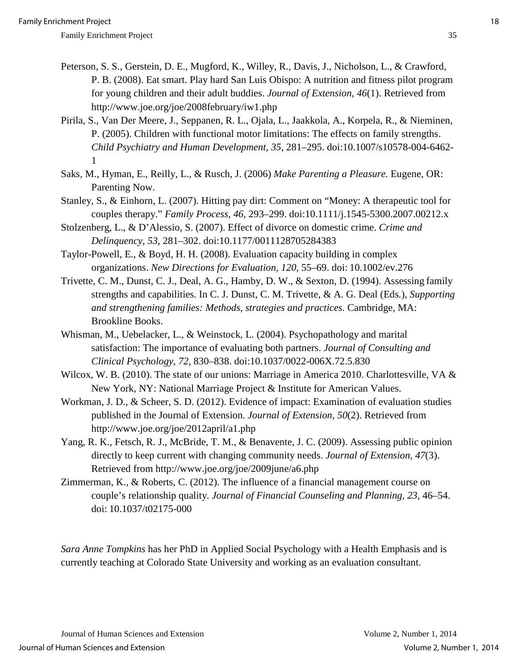- Peterson, S. S., Gerstein, D. E., Mugford, K., Willey, R., Davis, J., Nicholson, L., & Crawford, P. B. (2008). Eat smart. Play hard San Luis Obispo: A nutrition and fitness pilot program for young children and their adult buddies. *Journal of Extension, 46*(1). Retrieved from http://www.joe.org/joe/2008february/iw1.php
- Pirila, S., Van Der Meere, J., Seppanen, R. L., Ojala, L., Jaakkola, A., Korpela, R., & Nieminen, P. (2005). Children with functional motor limitations: The effects on family strengths. *Child Psychiatry and Human Development, 35*, 281–295. doi:10.1007/s10578-004-6462- 1
- Saks, M., Hyman, E., Reilly, L., & Rusch, J. (2006) *Make Parenting a Pleasure.* Eugene, OR: Parenting Now.
- Stanley, S., & Einhorn, L. (2007). Hitting pay dirt: Comment on "Money: A therapeutic tool for couples therapy." *Family Process, 46,* 293–299. doi:10.1111/j.1545-5300.2007.00212.x
- Stolzenberg, L., & D'Alessio, S. (2007). Effect of divorce on domestic crime. *Crime and Delinquency, 53*, 281–302. doi:10.1177/0011128705284383
- Taylor-Powell, E., & Boyd, H. H. (2008). Evaluation capacity building in complex organizations. *New Directions for Evaluation, 120*, 55–69. doi: 10.1002/ev.276
- Trivette, C. M., Dunst, C. J., Deal, A. G., Hamby, D. W., & Sexton, D. (1994). Assessing family strengths and capabilities*.* In C. J. Dunst, C. M. Trivette, & A. G. Deal (Eds*.*), *Supporting and strengthening families: Methods, strategies and practices.* Cambridge, MA: Brookline Books.
- Whisman, M., Uebelacker, L., & Weinstock, L. (2004). Psychopathology and marital satisfaction: The importance of evaluating both partners. *Journal of Consulting and Clinical Psychology, 72*, 830–838. doi[:10.1037/0022-006X.72.5.830](http://psycnet.apa.org/doi/10.1037/0022-006X.72.5.830)
- Wilcox, W. B. (2010). The state of our unions: Marriage in America 2010. Charlottesville, VA & New York, NY: National Marriage Project & Institute for American Values.
- Workman, J. D., & Scheer, S. D. (2012). Evidence of impact: Examination of evaluation studies published in the Journal of Extension. *Journal of Extension, 50*(2). Retrieved from http://www.joe.org/joe/2012april/a1.php
- Yang, R. K., Fetsch, R. J., McBride, T. M., & Benavente, J. C. (2009). Assessing public opinion directly to keep current with changing community needs. *Journal of Extension, 47*(3). Retrieved from http://www.joe.org/joe/2009june/a6.php
- Zimmerman, K., & Roberts, C. (2012). The influence of a financial management course on couple's relationship quality. *Journal of Financial Counseling and Planning, 23*, 46–54. doi: 10.1037/t02175-000

*Sara Anne Tompkins* has her PhD in Applied Social Psychology with a Health Emphasis and is currently teaching at Colorado State University and working as an evaluation consultant.